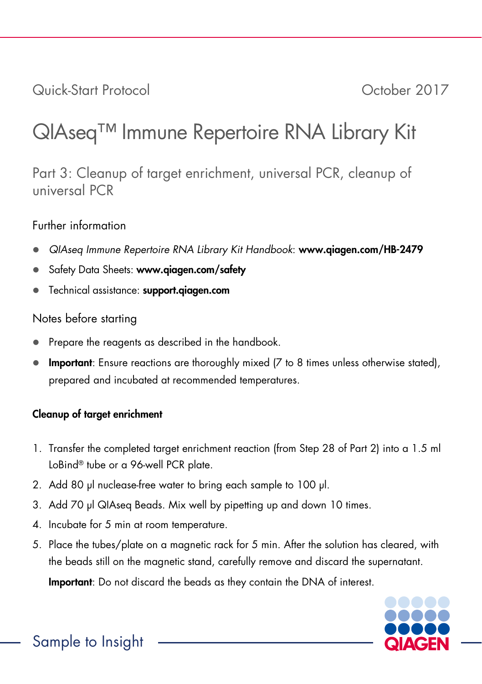Quick-Start Protocol October 2017

# QIAseq™ Immune Repertoire RNA Library Kit

Part 3: Cleanup of target enrichment, universal PCR, cleanup of universal PCR

## Further information

- *QIAseq Immune Repertoire RNA Library Kit Handbook*: www.qiagen.com/HB-2479
- Safety Data Sheets: www.giagen.com/safety
- Technical assistance: support.qiagen.com

## Notes before starting

- Prepare the reagents as described in the handbook.
- Important: Ensure reactions are thoroughly mixed (7 to 8 times unless otherwise stated), prepared and incubated at recommended temperatures.

# Cleanup of target enrichment

- 1. Transfer the completed target enrichment reaction (from Step 28 of Part 2) into a 1.5 ml LoBind® tube or a 96-well PCR plate.
- 2. Add 80 µl nuclease-free water to bring each sample to 100 µl.
- 3. Add 70 µl QIAsea Beads. Mix well by pipetting up and down 10 times.
- 4. Incubate for 5 min at room temperature.
- 5. Place the tubes/plate on a magnetic rack for 5 min. After the solution has cleared, with the beads still on the magnetic stand, carefully remove and discard the supernatant.

Important: Do not discard the beads as they contain the DNA of interest.

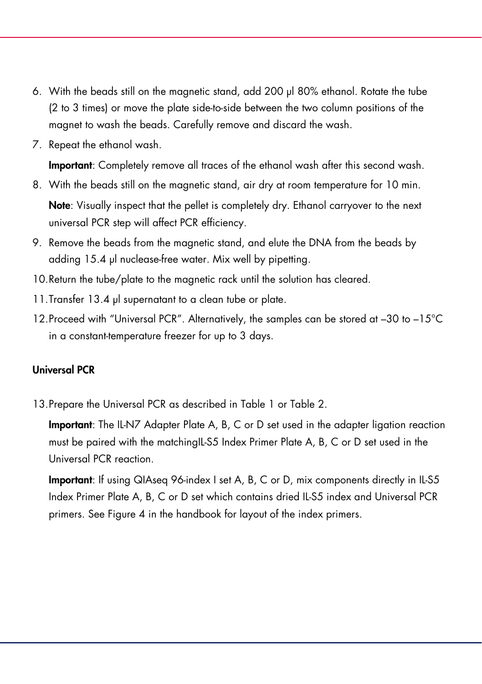- 6. With the beads still on the magnetic stand, add 200 µl 80% ethanol. Rotate the tube (2 to 3 times) or move the plate side-to-side between the two column positions of the magnet to wash the beads. Carefully remove and discard the wash.
- 7. Repeat the ethanol wash.

Important: Completely remove all traces of the ethanol wash after this second wash.

- 8. With the beads still on the magnetic stand, air dry at room temperature for 10 min. Note: Visually inspect that the pellet is completely dry. Ethanol carryover to the next universal PCR step will affect PCR efficiency.
- 9. Remove the beads from the magnetic stand, and elute the DNA from the beads by adding 15.4 µl nuclease-free water. Mix well by pipetting.
- 10.Return the tube/plate to the magnetic rack until the solution has cleared.
- 11.Transfer 13.4 µl supernatant to a clean tube or plate.
- 12.Proceed with "Universal PCR". Alternatively, the samples can be stored at –30 to –15°C in a constant-temperature freezer for up to 3 days.

### Universal PCR

13.Prepare the Universal PCR as described in Table 1 or Table 2.

Important: The IL-N7 Adapter Plate A, B, C or D set used in the adapter ligation reaction must be paired with the matchingIL-S5 Index Primer Plate A, B, C or D set used in the Universal PCR reaction.

Important: If using QIAseq 96-index I set A, B, C or D, mix components directly in IL-S5 Index Primer Plate A, B, C or D set which contains dried IL-S5 index and Universal PCR primers. See Figure 4 in the handbook for layout of the index primers.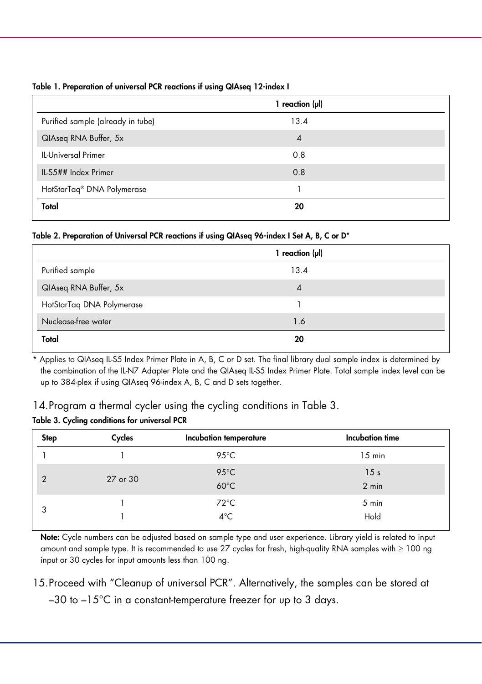Table 1. Preparation of universal PCR reactions if using QIAseq 12-index I

|                                        | 1 reaction $(\mu I)$ |  |  |
|----------------------------------------|----------------------|--|--|
| Purified sample (already in tube)      | 13.4                 |  |  |
| QIAseq RNA Buffer, 5x                  | $\overline{4}$       |  |  |
| <b>IL-Universal Primer</b>             | 0.8                  |  |  |
| IL-S5## Index Primer                   | 0.8                  |  |  |
| HotStarTaq <sup>®</sup> DNA Polymerase |                      |  |  |
| Total                                  | 20                   |  |  |

#### Table 2. Preparation of Universal PCR reactions if using QIAseq 96-index I Set A, B, C or D\*

|                           | 1 reaction $(\mu I)$ |  |  |
|---------------------------|----------------------|--|--|
| Purified sample           | 13.4                 |  |  |
| QIAseq RNA Buffer, 5x     | 4                    |  |  |
| HotStarTaq DNA Polymerase |                      |  |  |
| Nuclease-free water       | 1.6                  |  |  |
| Total                     | 20                   |  |  |

Applies to QIAseq IL-S5 Index Primer Plate in A, B, C or D set. The final library dual sample index is determined by the combination of the IL-N7 Adapter Plate and the QIAseq IL-S5 Index Primer Plate. Total sample index level can be up to 384-plex if using QIAseq 96-index A, B, C and D sets together.

14. Program a thermal cycler using the cycling conditions in Table 3.

#### Table 3. Cycling conditions for universal PCR

| <b>Step</b>    | Cycles   | Incubation temperature           | Incubation time          |
|----------------|----------|----------------------------------|--------------------------|
|                |          | 95 $°C$                          | $15$ min                 |
| $\overline{2}$ | 27 or 30 | $95^{\circ}$ C<br>$60^{\circ}$ C | 15 <sub>s</sub><br>2 min |
| 3              |          | $72^{\circ}$ C<br>$4^{\circ}$ C  | 5 min<br>Hold            |

Note: Cycle numbers can be adjusted based on sample type and user experience. Library yield is related to input amount and sample type. It is recommended to use 27 cycles for fresh, high-quality RNA samples with ≥ 100 ng input or 30 cycles for input amounts less than 100 ng.

15.Proceed with "Cleanup of universal PCR". Alternatively, the samples can be stored at  $-30$  to  $-15^{\circ}$ C in a constant-temperature freezer for up to 3 days.